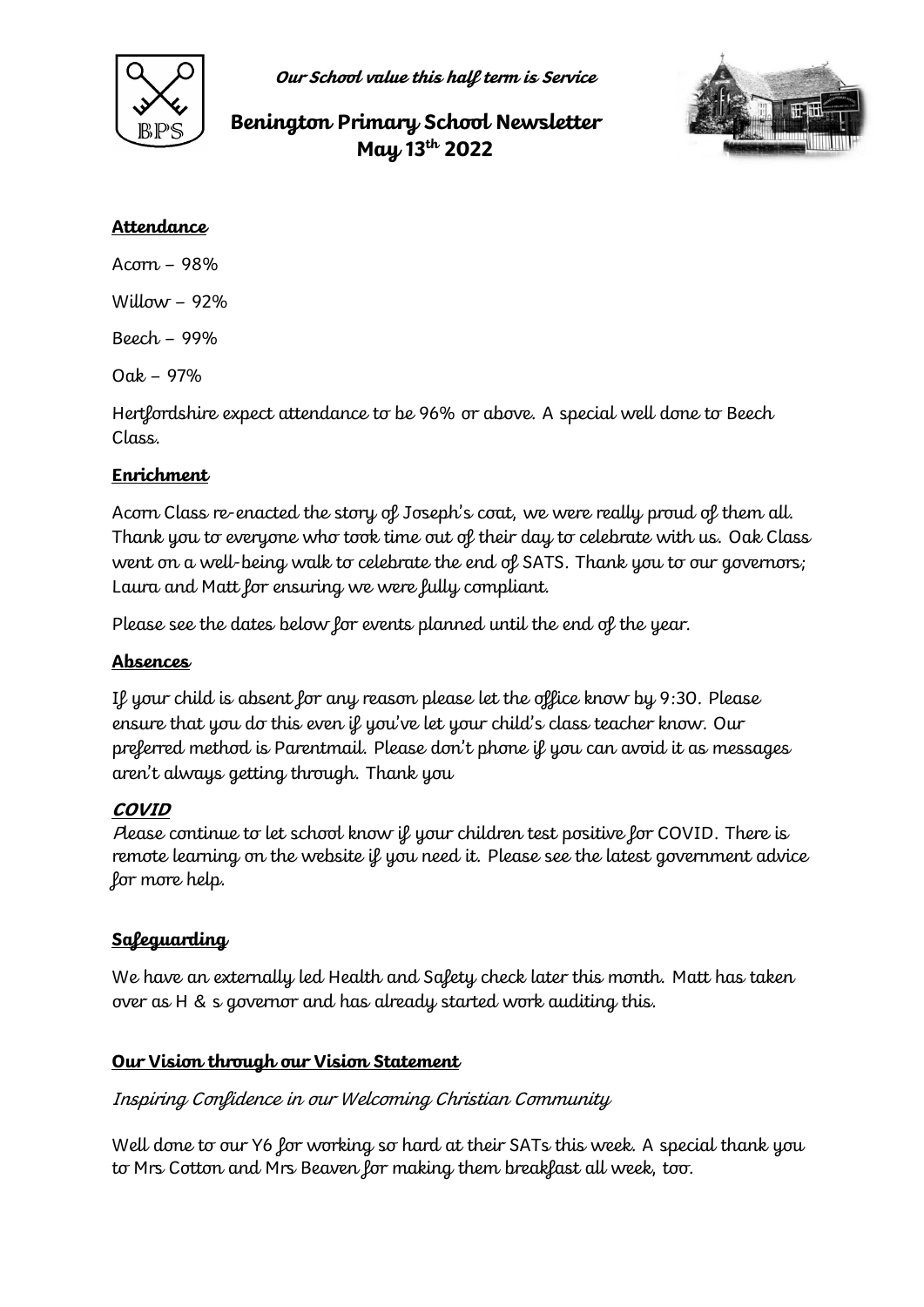

**Our School value this half term is Service**

# **Benington Primary School Newsletter May 13th 2022**



#### **Attendance**

Acorn – 98%

Willow  $-92%$ 

Beech – 99%

Oak – 97%

Hertfordshire expect attendance to be 96% or above. A special well done to Beech Class.

#### **Enrichment**

Acorn Class re-enacted the story of Joseph's coat, we were really proud of them all. Thank you to everyone who took time out of their day to celebrate with us. Oak Class went on a well-being walk to celebrate the end of SATS. Thank you to our governors; Laura and Matt for ensuring we were fully compliant.

Please see the dates below for events planned until the end of the year.

### **Absences**

If your child is absent for any reason please let the office know by 9:30. Please ensure that you do this even if you've let your child's class teacher know. Our preferred method is Parentmail. Please don't phone if you can avoid it as messages aren't always getting through. Thank you

#### **COVID**

Please continue to let school know if your children test positive for COVID. There is remote learning on the website if you need it. Please see the latest government advice for more help.

## **Safeguarding**

We have an externally led Health and Safety check later this month. Matt has taken over as H & s governor and has already started work auditing this.

## **Our Vision through our Vision Statement**

Inspiring Confidence in our Welcoming Christian Community

Well done to our Y6 for working so hard at their SATs this week. A special thank you to Mrs Cotton and Mrs Beaven for making them breakfast all week, too.